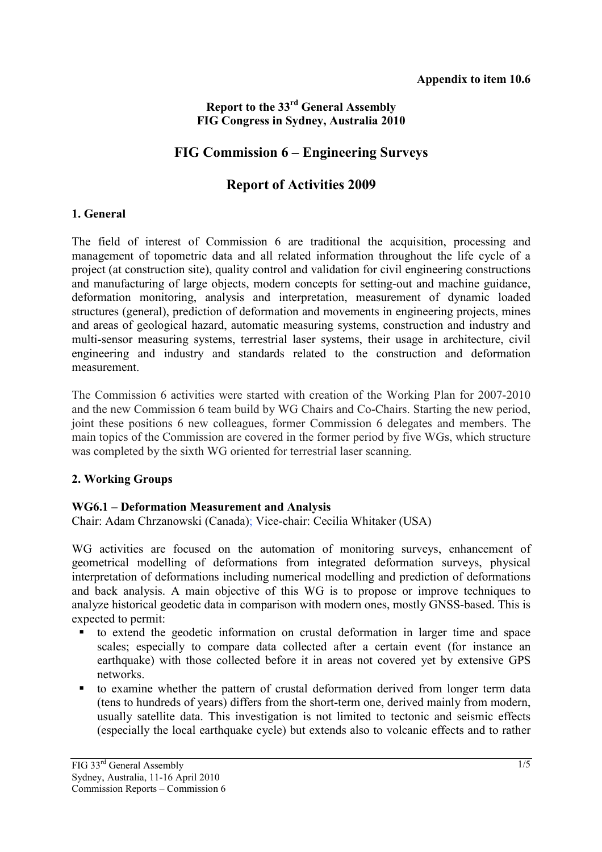### **Report to the 33rd General Assembly FIG Congress in Sydney, Australia 2010**

## **FIG Commission 6 – Engineering Surveys**

# **Report of Activities 2009**

#### **1. General**

The field of interest of Commission 6 are traditional the acquisition, processing and management of topometric data and all related information throughout the life cycle of a project (at construction site), quality control and validation for civil engineering constructions and manufacturing of large objects, modern concepts for setting-out and machine guidance, deformation monitoring, analysis and interpretation, measurement of dynamic loaded structures (general), prediction of deformation and movements in engineering projects, mines and areas of geological hazard, automatic measuring systems, construction and industry and multi-sensor measuring systems, terrestrial laser systems, their usage in architecture, civil engineering and industry and standards related to the construction and deformation measurement.

The Commission 6 activities were started with creation of the Working Plan for 2007-2010 and the new Commission 6 team build by WG Chairs and Co-Chairs. Starting the new period, joint these positions 6 new colleagues, former Commission 6 delegates and members. The main topics of the Commission are covered in the former period by five WGs, which structure was completed by the sixth WG oriented for terrestrial laser scanning.

### **2. Working Groups**

### **WG6.1 – Deformation Measurement and Analysis**

Chair: Adam Chrzanowski (Canada); Vice-chair: Cecilia Whitaker (USA)

WG activities are focused on the automation of monitoring surveys, enhancement of geometrical modelling of deformations from integrated deformation surveys, physical interpretation of deformations including numerical modelling and prediction of deformations and back analysis. A main objective of this WG is to propose or improve techniques to analyze historical geodetic data in comparison with modern ones, mostly GNSS-based. This is expected to permit:

- to extend the geodetic information on crustal deformation in larger time and space scales; especially to compare data collected after a certain event (for instance an earthquake) with those collected before it in areas not covered yet by extensive GPS networks.
- to examine whether the pattern of crustal deformation derived from longer term data (tens to hundreds of years) differs from the short-term one, derived mainly from modern, usually satellite data. This investigation is not limited to tectonic and seismic effects (especially the local earthquake cycle) but extends also to volcanic effects and to rather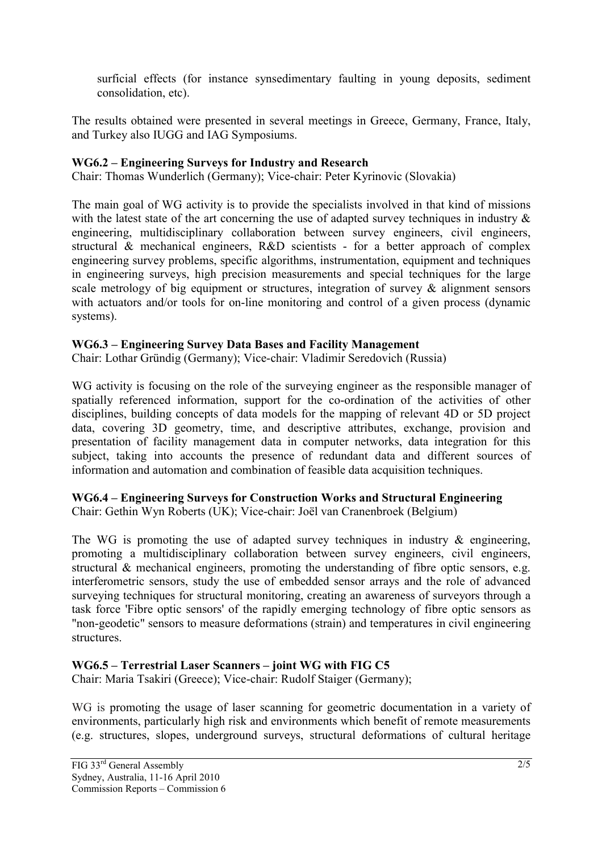surficial effects (for instance synsedimentary faulting in young deposits, sediment consolidation, etc).

The results obtained were presented in several meetings in Greece, Germany, France, Italy, and Turkey also IUGG and IAG Symposiums.

#### **WG6.2 – Engineering Surveys for Industry and Research**

Chair: Thomas Wunderlich (Germany); Vice-chair: Peter Kyrinovic (Slovakia)

The main goal of WG activity is to provide the specialists involved in that kind of missions with the latest state of the art concerning the use of adapted survey techniques in industry  $\&$ engineering, multidisciplinary collaboration between survey engineers, civil engineers, structural & mechanical engineers, R&D scientists - for a better approach of complex engineering survey problems, specific algorithms, instrumentation, equipment and techniques in engineering surveys, high precision measurements and special techniques for the large scale metrology of big equipment or structures, integration of survey & alignment sensors with actuators and/or tools for on-line monitoring and control of a given process (dynamic systems).

#### **WG6.3 – Engineering Survey Data Bases and Facility Management**

Chair: Lothar Gründig (Germany); Vice-chair: Vladimir Seredovich (Russia)

WG activity is focusing on the role of the surveying engineer as the responsible manager of spatially referenced information, support for the co-ordination of the activities of other disciplines, building concepts of data models for the mapping of relevant 4D or 5D project data, covering 3D geometry, time, and descriptive attributes, exchange, provision and presentation of facility management data in computer networks, data integration for this subject, taking into accounts the presence of redundant data and different sources of information and automation and combination of feasible data acquisition techniques.

**WG6.4 – Engineering Surveys for Construction Works and Structural Engineering**  Chair: Gethin Wyn Roberts (UK); Vice-chair: Joël van Cranenbroek (Belgium)

The WG is promoting the use of adapted survey techniques in industry  $\&$  engineering, promoting a multidisciplinary collaboration between survey engineers, civil engineers, structural & mechanical engineers, promoting the understanding of fibre optic sensors, e.g. interferometric sensors, study the use of embedded sensor arrays and the role of advanced surveying techniques for structural monitoring, creating an awareness of surveyors through a task force 'Fibre optic sensors' of the rapidly emerging technology of fibre optic sensors as "non-geodetic" sensors to measure deformations (strain) and temperatures in civil engineering structures.

### **WG6.5 – Terrestrial Laser Scanners – joint WG with FIG C5**

Chair: Maria Tsakiri (Greece); Vice-chair: Rudolf Staiger (Germany);

WG is promoting the usage of laser scanning for geometric documentation in a variety of environments, particularly high risk and environments which benefit of remote measurements (e.g. structures, slopes, underground surveys, structural deformations of cultural heritage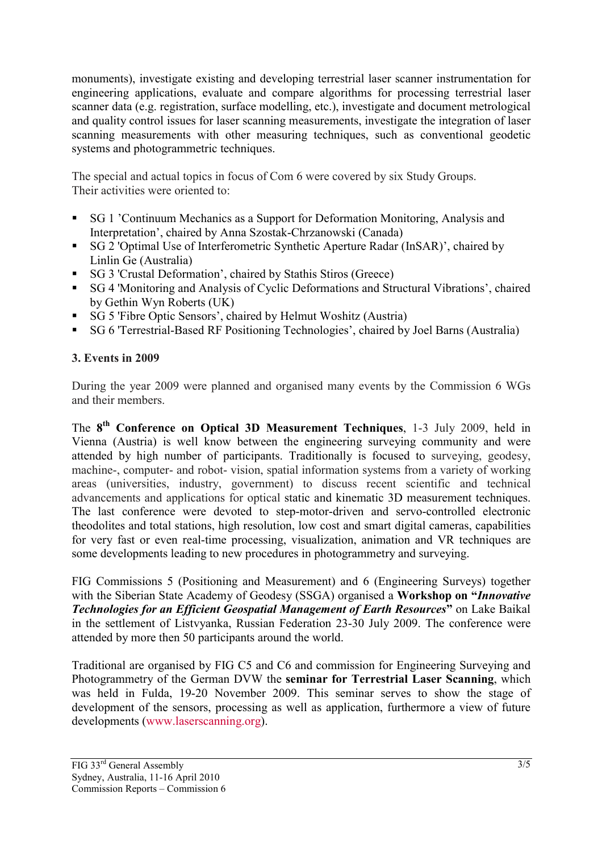monuments), investigate existing and developing terrestrial laser scanner instrumentation for engineering applications, evaluate and compare algorithms for processing terrestrial laser scanner data (e.g. registration, surface modelling, etc.), investigate and document metrological and quality control issues for laser scanning measurements, investigate the integration of laser scanning measurements with other measuring techniques, such as conventional geodetic systems and photogrammetric techniques.

The special and actual topics in focus of Com 6 were covered by six Study Groups. Their activities were oriented to:

- SG 1 'Continuum Mechanics as a Support for Deformation Monitoring, Analysis and Interpretation', chaired by Anna Szostak-Chrzanowski (Canada)
- SG 2 'Optimal Use of Interferometric Synthetic Aperture Radar (InSAR)', chaired by Linlin Ge (Australia)
- SG 3 'Crustal Deformation', chaired by Stathis Stiros (Greece)
- SG 4 'Monitoring and Analysis of Cyclic Deformations and Structural Vibrations', chaired by Gethin Wyn Roberts (UK)
- SG 5 'Fibre Optic Sensors', chaired by Helmut Woshitz (Austria)
- SG 6 'Terrestrial-Based RF Positioning Technologies', chaired by Joel Barns (Australia)

### **3. Events in 2009**

During the year 2009 were planned and organised many events by the Commission 6 WGs and their members.

The **8th Conference on Optical 3D Measurement Techniques**, 1-3 July 2009, held in Vienna (Austria) is well know between the engineering surveying community and were attended by high number of participants. Traditionally is focused to surveying, geodesy, machine-, computer- and robot- vision, spatial information systems from a variety of working areas (universities, industry, government) to discuss recent scientific and technical advancements and applications for optical static and kinematic 3D measurement techniques. The last conference were devoted to step-motor-driven and servo-controlled electronic theodolites and total stations, high resolution, low cost and smart digital cameras, capabilities for very fast or even real-time processing, visualization, animation and VR techniques are some developments leading to new procedures in photogrammetry and surveying.

FIG Commissions 5 (Positioning and Measurement) and 6 (Engineering Surveys) together with the Siberian State Academy of Geodesy (SSGA) organised a **Workshop on "***Innovative Technologies for an Efficient Geospatial Management of Earth Resources***"** on Lake Baikal in the settlement of Listvyanka, Russian Federation 23-30 July 2009. The conference were attended by more then 50 participants around the world.

Traditional are organised by FIG C5 and C6 and commission for Engineering Surveying and Photogrammetry of the German DVW the **seminar for Terrestrial Laser Scanning**, which was held in Fulda, 19-20 November 2009. This seminar serves to show the stage of development of the sensors, processing as well as application, furthermore a view of future developments (www.laserscanning.org).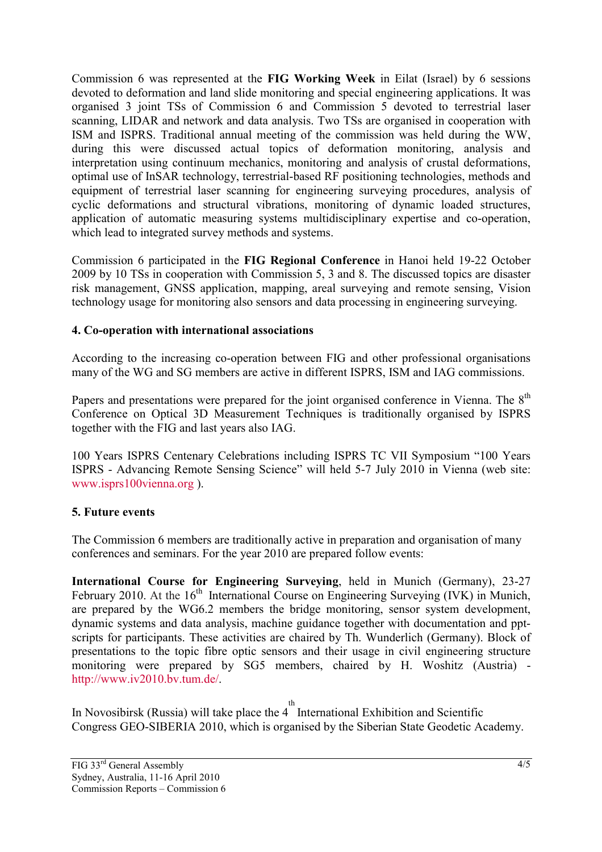Commission 6 was represented at the **FIG Working Week** in Eilat (Israel) by 6 sessions devoted to deformation and land slide monitoring and special engineering applications. It was organised 3 joint TSs of Commission 6 and Commission 5 devoted to terrestrial laser scanning, LIDAR and network and data analysis. Two TSs are organised in cooperation with ISM and ISPRS. Traditional annual meeting of the commission was held during the WW, during this were discussed actual topics of deformation monitoring, analysis and interpretation using continuum mechanics, monitoring and analysis of crustal deformations, optimal use of InSAR technology, terrestrial-based RF positioning technologies, methods and equipment of terrestrial laser scanning for engineering surveying procedures, analysis of cyclic deformations and structural vibrations, monitoring of dynamic loaded structures, application of automatic measuring systems multidisciplinary expertise and co-operation, which lead to integrated survey methods and systems.

Commission 6 participated in the **FIG Regional Conference** in Hanoi held 19-22 October 2009 by 10 TSs in cooperation with Commission 5, 3 and 8. The discussed topics are disaster risk management, GNSS application, mapping, areal surveying and remote sensing, Vision technology usage for monitoring also sensors and data processing in engineering surveying.

#### **4. Co-operation with international associations**

According to the increasing co-operation between FIG and other professional organisations many of the WG and SG members are active in different ISPRS, ISM and IAG commissions.

Papers and presentations were prepared for the joint organised conference in Vienna. The 8<sup>th</sup> Conference on Optical 3D Measurement Techniques is traditionally organised by ISPRS together with the FIG and last years also IAG.

100 Years ISPRS Centenary Celebrations including ISPRS TC VII Symposium "100 Years ISPRS - Advancing Remote Sensing Science" will held 5-7 July 2010 in Vienna (web site: www.isprs100vienna.org ).

### **5. Future events**

The Commission 6 members are traditionally active in preparation and organisation of many conferences and seminars. For the year 2010 are prepared follow events:

**International Course for Engineering Surveying**, held in Munich (Germany), 23-27 February 2010. At the  $16<sup>th</sup>$  International Course on Engineering Surveying (IVK) in Munich, are prepared by the WG6.2 members the bridge monitoring, sensor system development, dynamic systems and data analysis, machine guidance together with documentation and pptscripts for participants. These activities are chaired by Th. Wunderlich (Germany). Block of presentations to the topic fibre optic sensors and their usage in civil engineering structure monitoring were prepared by SG5 members, chaired by H. Woshitz (Austria) http://www.iv2010.bv.tum.de/.

In Novosibirsk (Russia) will take place the  $4^{th}$  International Exhibition and Scientific Congress GEO-SIBERIA 2010, which is organised by the Siberian State Geodetic Academy.